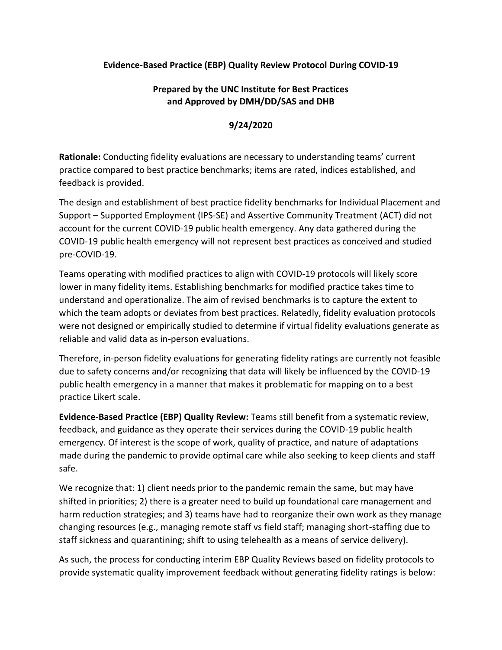## **Evidence-Based Practice (EBP) Quality Review Protocol During COVID-19**

## **Prepared by the UNC Institute for Best Practices and Approved by DMH/DD/SAS and DHB**

## **9/24/2020**

**Rationale:** Conducting fidelity evaluations are necessary to understanding teams' current practice compared to best practice benchmarks; items are rated, indices established, and feedback is provided.

The design and establishment of best practice fidelity benchmarks for Individual Placement and Support – Supported Employment (IPS-SE) and Assertive Community Treatment (ACT) did not account for the current COVID-19 public health emergency. Any data gathered during the COVID-19 public health emergency will not represent best practices as conceived and studied pre-COVID-19.

Teams operating with modified practices to align with COVID-19 protocols will likely score lower in many fidelity items. Establishing benchmarks for modified practice takes time to understand and operationalize. The aim of revised benchmarks is to capture the extent to which the team adopts or deviates from best practices. Relatedly, fidelity evaluation protocols were not designed or empirically studied to determine if virtual fidelity evaluations generate as reliable and valid data as in-person evaluations.

Therefore, in-person fidelity evaluations for generating fidelity ratings are currently not feasible due to safety concerns and/or recognizing that data will likely be influenced by the COVID-19 public health emergency in a manner that makes it problematic for mapping on to a best practice Likert scale.

**Evidence-Based Practice (EBP) Quality Review:** Teams still benefit from a systematic review, feedback, and guidance as they operate their services during the COVID-19 public health emergency. Of interest is the scope of work, quality of practice, and nature of adaptations made during the pandemic to provide optimal care while also seeking to keep clients and staff safe.

We recognize that: 1) client needs prior to the pandemic remain the same, but may have shifted in priorities; 2) there is a greater need to build up foundational care management and harm reduction strategies; and 3) teams have had to reorganize their own work as they manage changing resources (e.g., managing remote staff vs field staff; managing short-staffing due to staff sickness and quarantining; shift to using telehealth as a means of service delivery).

As such, the process for conducting interim EBP Quality Reviews based on fidelity protocols to provide systematic quality improvement feedback without generating fidelity ratings is below: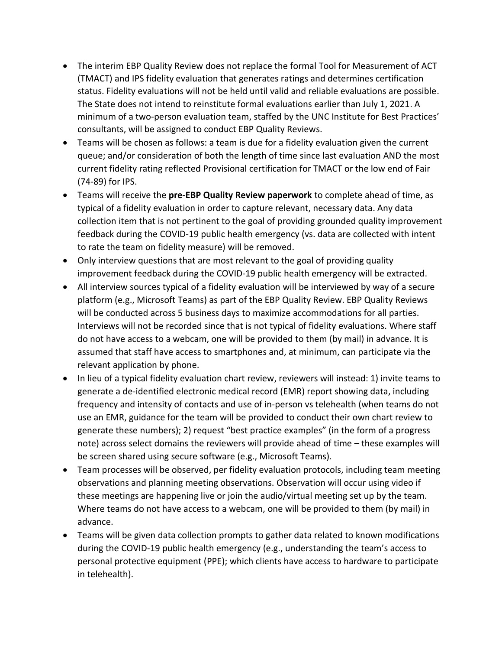- The interim EBP Quality Review does not replace the formal Tool for Measurement of ACT (TMACT) and IPS fidelity evaluation that generates ratings and determines certification status. Fidelity evaluations will not be held until valid and reliable evaluations are possible. The State does not intend to reinstitute formal evaluations earlier than July 1, 2021. A minimum of a two-person evaluation team, staffed by the UNC Institute for Best Practices' consultants, will be assigned to conduct EBP Quality Reviews.
- Teams will be chosen as follows: a team is due for a fidelity evaluation given the current queue; and/or consideration of both the length of time since last evaluation AND the most current fidelity rating reflected Provisional certification for TMACT or the low end of Fair (74-89) for IPS.
- Teams will receive the **pre-EBP Quality Review paperwork** to complete ahead of time, as typical of a fidelity evaluation in order to capture relevant, necessary data. Any data collection item that is not pertinent to the goal of providing grounded quality improvement feedback during the COVID-19 public health emergency (vs. data are collected with intent to rate the team on fidelity measure) will be removed.
- Only interview questions that are most relevant to the goal of providing quality improvement feedback during the COVID-19 public health emergency will be extracted.
- All interview sources typical of a fidelity evaluation will be interviewed by way of a secure platform (e.g., Microsoft Teams) as part of the EBP Quality Review. EBP Quality Reviews will be conducted across 5 business days to maximize accommodations for all parties. Interviews will not be recorded since that is not typical of fidelity evaluations. Where staff do not have access to a webcam, one will be provided to them (by mail) in advance. It is assumed that staff have access to smartphones and, at minimum, can participate via the relevant application by phone.
- In lieu of a typical fidelity evaluation chart review, reviewers will instead: 1) invite teams to generate a de-identified electronic medical record (EMR) report showing data, including frequency and intensity of contacts and use of in-person vs telehealth (when teams do not use an EMR, guidance for the team will be provided to conduct their own chart review to generate these numbers); 2) request "best practice examples" (in the form of a progress note) across select domains the reviewers will provide ahead of time – these examples will be screen shared using secure software (e.g., Microsoft Teams).
- Team processes will be observed, per fidelity evaluation protocols, including team meeting observations and planning meeting observations. Observation will occur using video if these meetings are happening live or join the audio/virtual meeting set up by the team. Where teams do not have access to a webcam, one will be provided to them (by mail) in advance.
- Teams will be given data collection prompts to gather data related to known modifications during the COVID-19 public health emergency (e.g., understanding the team's access to personal protective equipment (PPE); which clients have access to hardware to participate in telehealth).